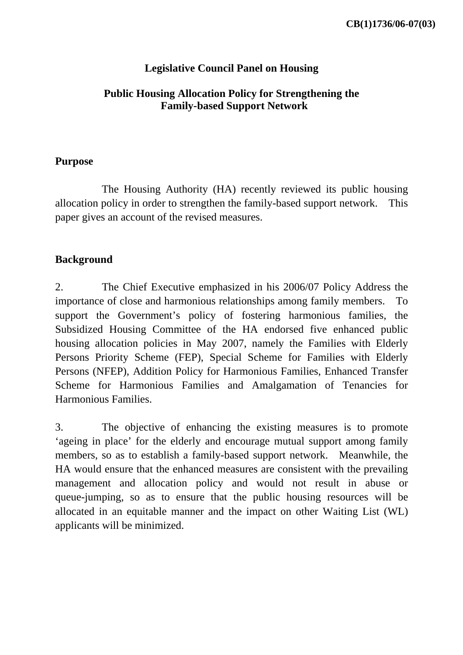## **Legislative Council Panel on Housing**

## **Public Housing Allocation Policy for Strengthening the Family-based Support Network**

#### **Purpose**

 The Housing Authority (HA) recently reviewed its public housing allocation policy in order to strengthen the family-based support network. This paper gives an account of the revised measures.

### **Background**

2. The Chief Executive emphasized in his 2006/07 Policy Address the importance of close and harmonious relationships among family members. To support the Government's policy of fostering harmonious families, the Subsidized Housing Committee of the HA endorsed five enhanced public housing allocation policies in May 2007, namely the Families with Elderly Persons Priority Scheme (FEP), Special Scheme for Families with Elderly Persons (NFEP), Addition Policy for Harmonious Families, Enhanced Transfer Scheme for Harmonious Families and Amalgamation of Tenancies for Harmonious Families.

3. The objective of enhancing the existing measures is to promote 'ageing in place' for the elderly and encourage mutual support among family members, so as to establish a family-based support network. Meanwhile, the HA would ensure that the enhanced measures are consistent with the prevailing management and allocation policy and would not result in abuse or queue-jumping, so as to ensure that the public housing resources will be allocated in an equitable manner and the impact on other Waiting List (WL) applicants will be minimized.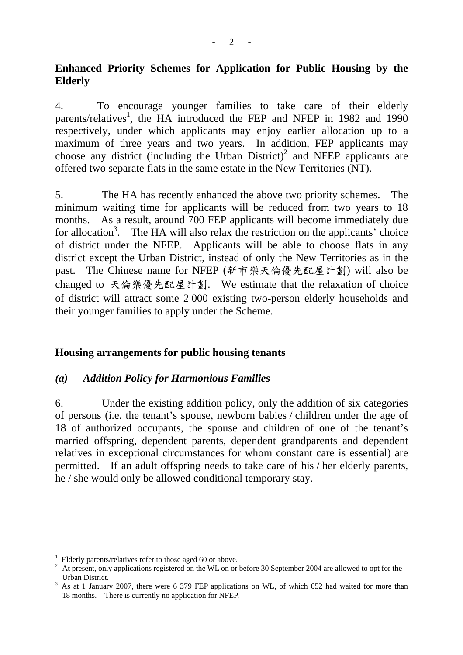## **Enhanced Priority Schemes for Application for Public Housing by the Elderly**

4. To encourage younger families to take care of their elderly parents/relatives<sup>1</sup>, the HA introduced the FEP and NFEP in 1982 and 1990 respectively, under which applicants may enjoy earlier allocation up to a maximum of three years and two years. In addition, FEP applicants may choose any district (including the Urban District)<sup>2</sup> and NFEP applicants are offered two separate flats in the same estate in the New Territories (NT).

5. The HA has recently enhanced the above two priority schemes. The minimum waiting time for applicants will be reduced from two years to 18 months. As a result, around 700 FEP applicants will become immediately due for allocation<sup>3</sup>. The HA will also relax the restriction on the applicants' choice of district under the NFEP. Applicants will be able to choose flats in any district except the Urban District, instead of only the New Territories as in the past. The Chinese name for NFEP (新市樂天倫優先配屋計劃) will also be changed to 天倫樂優先配屋計劃. We estimate that the relaxation of choice of district will attract some 2 000 existing two-person elderly households and their younger families to apply under the Scheme.

### **Housing arrangements for public housing tenants**

### *(a) Addition Policy for Harmonious Families*

6. Under the existing addition policy, only the addition of six categories of persons (i.e. the tenant's spouse, newborn babies / children under the age of 18 of authorized occupants, the spouse and children of one of the tenant's married offspring, dependent parents, dependent grandparents and dependent relatives in exceptional circumstances for whom constant care is essential) are permitted. If an adult offspring needs to take care of his / her elderly parents, he / she would only be allowed conditional temporary stay.

 $\overline{a}$ 

 $1$  Elderly parents/relatives refer to those aged 60 or above.

<sup>&</sup>lt;sup>2</sup> At present, only applications registered on the WL on or before 30 September 2004 are allowed to opt for the Urban District.

<sup>&</sup>lt;sup>3</sup> As at 1 January 2007, there were 6 379 FEP applications on WL, of which 652 had waited for more than 18 months. There is currently no application for NFEP.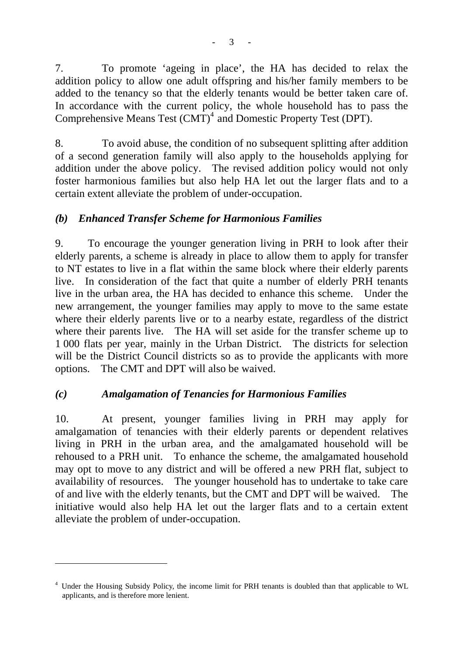7. To promote 'ageing in place', the HA has decided to relax the addition policy to allow one adult offspring and his/her family members to be added to the tenancy so that the elderly tenants would be better taken care of. In accordance with the current policy, the whole household has to pass the Comprehensive Means Test (CMT)<sup>4</sup> and Domestic Property Test (DPT).

8. To avoid abuse, the condition of no subsequent splitting after addition of a second generation family will also apply to the households applying for addition under the above policy. The revised addition policy would not only foster harmonious families but also help HA let out the larger flats and to a certain extent alleviate the problem of under-occupation.

### *(b) Enhanced Transfer Scheme for Harmonious Families*

9. To encourage the younger generation living in PRH to look after their elderly parents, a scheme is already in place to allow them to apply for transfer to NT estates to live in a flat within the same block where their elderly parents live. In consideration of the fact that quite a number of elderly PRH tenants live in the urban area, the HA has decided to enhance this scheme. Under the new arrangement, the younger families may apply to move to the same estate where their elderly parents live or to a nearby estate, regardless of the district where their parents live. The HA will set aside for the transfer scheme up to 1 000 flats per year, mainly in the Urban District. The districts for selection will be the District Council districts so as to provide the applicants with more options. The CMT and DPT will also be waived.

# *(c) Amalgamation of Tenancies for Harmonious Families*

 $\overline{a}$ 

10. At present, younger families living in PRH may apply for amalgamation of tenancies with their elderly parents or dependent relatives living in PRH in the urban area, and the amalgamated household will be rehoused to a PRH unit. To enhance the scheme, the amalgamated household may opt to move to any district and will be offered a new PRH flat, subject to availability of resources. The younger household has to undertake to take care of and live with the elderly tenants, but the CMT and DPT will be waived. The initiative would also help HA let out the larger flats and to a certain extent alleviate the problem of under-occupation.

<sup>&</sup>lt;sup>4</sup> Under the Housing Subsidy Policy, the income limit for PRH tenants is doubled than that applicable to WL applicants, and is therefore more lenient.